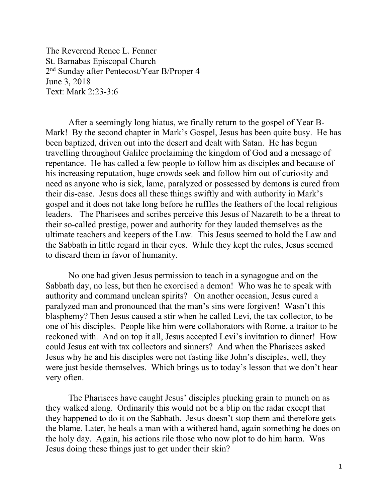The Reverend Renee L. Fenner St. Barnabas Episcopal Church 2nd Sunday after Pentecost/Year B/Proper 4 June 3, 2018 Text: Mark 2:23-3:6

After a seemingly long hiatus, we finally return to the gospel of Year B-Mark! By the second chapter in Mark's Gospel, Jesus has been quite busy. He has been baptized, driven out into the desert and dealt with Satan. He has begun travelling throughout Galilee proclaiming the kingdom of God and a message of repentance. He has called a few people to follow him as disciples and because of his increasing reputation, huge crowds seek and follow him out of curiosity and need as anyone who is sick, lame, paralyzed or possessed by demons is cured from their dis-ease. Jesus does all these things swiftly and with authority in Mark's gospel and it does not take long before he ruffles the feathers of the local religious leaders. The Pharisees and scribes perceive this Jesus of Nazareth to be a threat to their so-called prestige, power and authority for they lauded themselves as the ultimate teachers and keepers of the Law. This Jesus seemed to hold the Law and the Sabbath in little regard in their eyes. While they kept the rules, Jesus seemed to discard them in favor of humanity.

No one had given Jesus permission to teach in a synagogue and on the Sabbath day, no less, but then he exorcised a demon! Who was he to speak with authority and command unclean spirits? On another occasion, Jesus cured a paralyzed man and pronounced that the man's sins were forgiven! Wasn't this blasphemy? Then Jesus caused a stir when he called Levi, the tax collector, to be one of his disciples. People like him were collaborators with Rome, a traitor to be reckoned with. And on top it all, Jesus accepted Levi's invitation to dinner! How could Jesus eat with tax collectors and sinners? And when the Pharisees asked Jesus why he and his disciples were not fasting like John's disciples, well, they were just beside themselves. Which brings us to today's lesson that we don't hear very often.

The Pharisees have caught Jesus' disciples plucking grain to munch on as they walked along. Ordinarily this would not be a blip on the radar except that they happened to do it on the Sabbath. Jesus doesn't stop them and therefore gets the blame. Later, he heals a man with a withered hand, again something he does on the holy day. Again, his actions rile those who now plot to do him harm. Was Jesus doing these things just to get under their skin?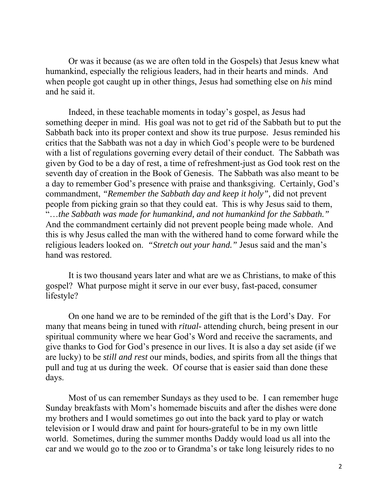Or was it because (as we are often told in the Gospels) that Jesus knew what humankind, especially the religious leaders, had in their hearts and minds. And when people got caught up in other things, Jesus had something else on *his* mind and he said it.

Indeed, in these teachable moments in today's gospel, as Jesus had something deeper in mind. His goal was not to get rid of the Sabbath but to put the Sabbath back into its proper context and show its true purpose. Jesus reminded his critics that the Sabbath was not a day in which God's people were to be burdened with a list of regulations governing every detail of their conduct. The Sabbath was given by God to be a day of rest, a time of refreshment-just as God took rest on the seventh day of creation in the Book of Genesis. The Sabbath was also meant to be a day to remember God's presence with praise and thanksgiving. Certainly, God's commandment, *"Remember the Sabbath day and keep it holy",* did not prevent people from picking grain so that they could eat. This is why Jesus said to them, "…*the Sabbath was made for humankind, and not humankind for the Sabbath."*  And the commandment certainly did not prevent people being made whole. And this is why Jesus called the man with the withered hand to come forward while the religious leaders looked on. *"Stretch out your hand."* Jesus said and the man's hand was restored.

It is two thousand years later and what are we as Christians, to make of this gospel? What purpose might it serve in our ever busy, fast-paced, consumer lifestyle?

On one hand we are to be reminded of the gift that is the Lord's Day. For many that means being in tuned with *ritual*- attending church, being present in our spiritual community where we hear God's Word and receive the sacraments, and give thanks to God for God's presence in our lives. It is also a day set aside (if we are lucky) to be *still and rest* our minds, bodies, and spirits from all the things that pull and tug at us during the week. Of course that is easier said than done these days.

Most of us can remember Sundays as they used to be. I can remember huge Sunday breakfasts with Mom's homemade biscuits and after the dishes were done my brothers and I would sometimes go out into the back yard to play or watch television or I would draw and paint for hours-grateful to be in my own little world. Sometimes, during the summer months Daddy would load us all into the car and we would go to the zoo or to Grandma's or take long leisurely rides to no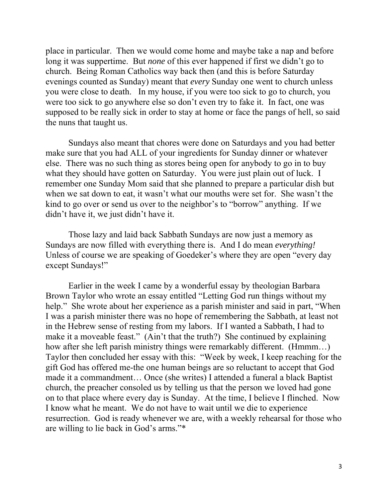place in particular. Then we would come home and maybe take a nap and before long it was suppertime. But *none* of this ever happened if first we didn't go to church. Being Roman Catholics way back then (and this is before Saturday evenings counted as Sunday) meant that *every* Sunday one went to church unless you were close to death. In my house, if you were too sick to go to church, you were too sick to go anywhere else so don't even try to fake it. In fact, one was supposed to be really sick in order to stay at home or face the pangs of hell, so said the nuns that taught us.

 Sundays also meant that chores were done on Saturdays and you had better make sure that you had ALL of your ingredients for Sunday dinner or whatever else. There was no such thing as stores being open for anybody to go in to buy what they should have gotten on Saturday. You were just plain out of luck. I remember one Sunday Mom said that she planned to prepare a particular dish but when we sat down to eat, it wasn't what our mouths were set for. She wasn't the kind to go over or send us over to the neighbor's to "borrow" anything. If we didn't have it, we just didn't have it.

 Those lazy and laid back Sabbath Sundays are now just a memory as Sundays are now filled with everything there is. And I do mean *everything!*  Unless of course we are speaking of Goedeker's where they are open "every day except Sundays!"

Earlier in the week I came by a wonderful essay by theologian Barbara Brown Taylor who wrote an essay entitled "Letting God run things without my help." She wrote about her experience as a parish minister and said in part, "When I was a parish minister there was no hope of remembering the Sabbath, at least not in the Hebrew sense of resting from my labors. If I wanted a Sabbath, I had to make it a moveable feast." (Ain't that the truth?) She continued by explaining how after she left parish ministry things were remarkably different. (Hmmm...) Taylor then concluded her essay with this: "Week by week, I keep reaching for the gift God has offered me-the one human beings are so reluctant to accept that God made it a commandment… Once (she writes) I attended a funeral a black Baptist church, the preacher consoled us by telling us that the person we loved had gone on to that place where every day is Sunday. At the time, I believe I flinched. Now I know what he meant. We do not have to wait until we die to experience resurrection. God is ready whenever we are, with a weekly rehearsal for those who are willing to lie back in God's arms."\*